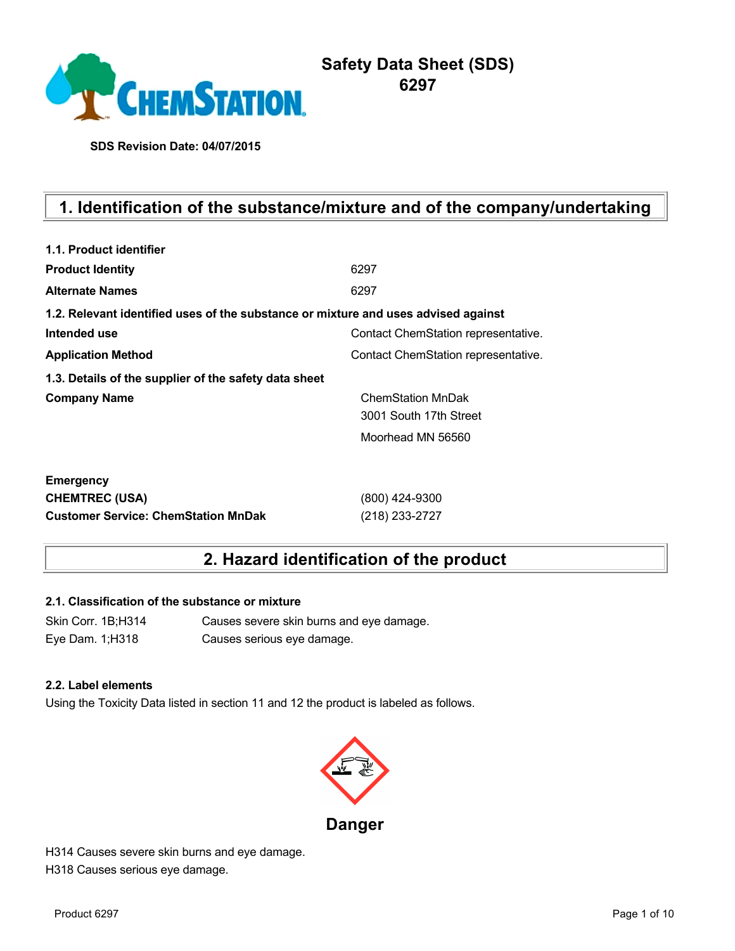

**SDS Revision Date: 04/07/2015**

# **1. Identification of the substance/mixture and of the company/undertaking**

| 1.1. Product identifier                                                            |                                     |
|------------------------------------------------------------------------------------|-------------------------------------|
| <b>Product Identity</b>                                                            | 6297                                |
| <b>Alternate Names</b>                                                             | 6297                                |
| 1.2. Relevant identified uses of the substance or mixture and uses advised against |                                     |
| Intended use                                                                       | Contact ChemStation representative. |
| <b>Application Method</b>                                                          | Contact ChemStation representative. |
| 1.3. Details of the supplier of the safety data sheet                              |                                     |
| <b>Company Name</b>                                                                | <b>ChemStation MnDak</b>            |
|                                                                                    | 3001 South 17th Street              |
|                                                                                    | Moorhead MN 56560                   |
| <b>Emergency</b>                                                                   |                                     |
| <b>CHEMTREC (USA)</b>                                                              | (800) 424-9300                      |
| <b>Customer Service: ChemStation MnDak</b>                                         | (218) 233-2727                      |

## **2. Hazard identification of the product**

### **2.1. Classification of the substance or mixture**

Skin Corr. 1B;H314 Causes severe skin burns and eye damage. Eye Dam. 1;H318 Causes serious eye damage.

#### **2.2. Label elements**

Using the Toxicity Data listed in section 11 and 12 the product is labeled as follows.



H314 Causes severe skin burns and eye damage. H318 Causes serious eye damage.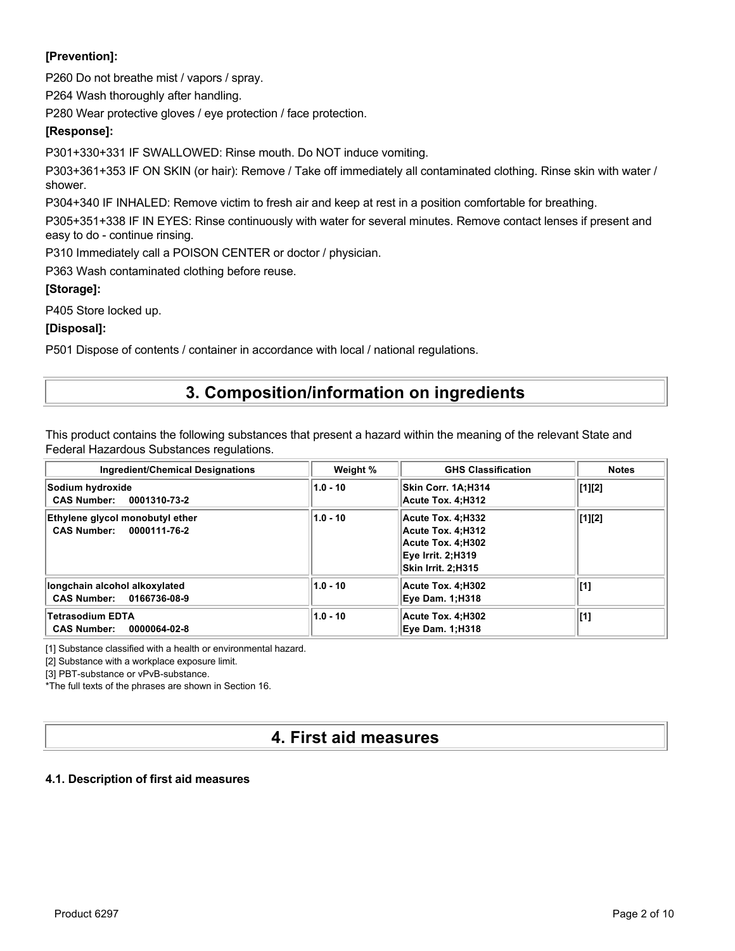## **[Prevention]:**

P260 Do not breathe mist / vapors / spray.

P264 Wash thoroughly after handling.

P280 Wear protective gloves / eye protection / face protection.

## **[Response]:**

P301+330+331 IF SWALLOWED: Rinse mouth. Do NOT induce vomiting.

P303+361+353 IF ON SKIN (or hair): Remove / Take off immediately all contaminated clothing. Rinse skin with water / shower.

P304+340 IF INHALED: Remove victim to fresh air and keep at rest in a position comfortable for breathing.

P305+351+338 IF IN EYES: Rinse continuously with water for several minutes. Remove contact lenses if present and easy to do - continue rinsing.

P310 Immediately call a POISON CENTER or doctor / physician.

P363 Wash contaminated clothing before reuse.

## **[Storage]:**

P405 Store locked up.

## **[Disposal]:**

P501 Dispose of contents / container in accordance with local / national regulations.

## **3. Composition/information on ingredients**

This product contains the following substances that present a hazard within the meaning of the relevant State and Federal Hazardous Substances regulations.

| <b>Ingredient/Chemical Designations</b>                               | Weight %   | <b>GHS Classification</b>                                                                              | <b>Notes</b> |
|-----------------------------------------------------------------------|------------|--------------------------------------------------------------------------------------------------------|--------------|
| Sodium hydroxide<br><b>CAS Number:</b><br>0001310-73-2                | $1.0 - 10$ | Skin Corr. 1A:H314<br>Acute Tox. 4:H312                                                                | [1][2]       |
| Ethylene glycol monobutyl ether<br><b>CAS Number:</b><br>0000111-76-2 | $1.0 - 10$ | Acute Tox. 4:H332<br>Acute Tox. 4:H312<br>Acute Tox. 4:H302<br>Eye Irrit. 2:H319<br>Skin Irrit. 2:H315 | [1][2]       |
| longchain alcohol alkoxylated<br>CAS Number: 0166736-08-9             | $1.0 - 10$ | Acute Tox. 4:H302<br><b>Eye Dam. 1:H318</b>                                                            | [1]          |
| <b>Tetrasodium EDTA</b><br><b>CAS Number:</b><br>0000064-02-8         | $1.0 - 10$ | Acute Tox. 4:H302<br><b>Eye Dam. 1:H318</b>                                                            | [1]          |

[1] Substance classified with a health or environmental hazard.

[2] Substance with a workplace exposure limit.

[3] PBT-substance or vPvB-substance.

\*The full texts of the phrases are shown in Section 16.

## **4. First aid measures**

#### **4.1. Description of first aid measures**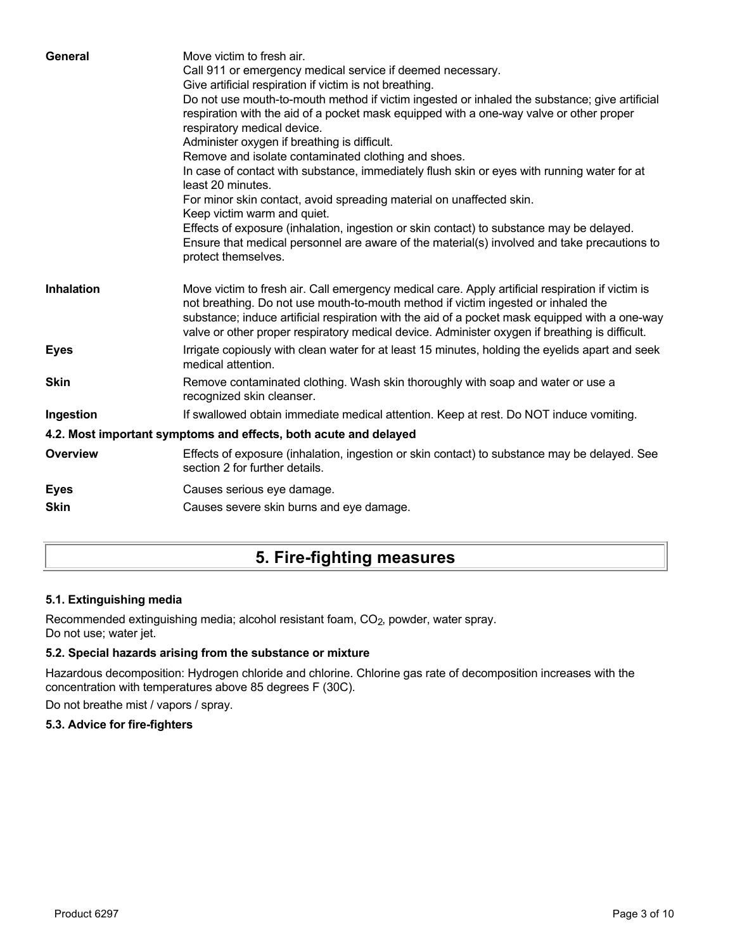| General           | Move victim to fresh air.<br>Call 911 or emergency medical service if deemed necessary.<br>Give artificial respiration if victim is not breathing.<br>Do not use mouth-to-mouth method if victim ingested or inhaled the substance; give artificial<br>respiration with the aid of a pocket mask equipped with a one-way valve or other proper<br>respiratory medical device.<br>Administer oxygen if breathing is difficult.<br>Remove and isolate contaminated clothing and shoes.<br>In case of contact with substance, immediately flush skin or eyes with running water for at<br>least 20 minutes.<br>For minor skin contact, avoid spreading material on unaffected skin.<br>Keep victim warm and quiet.<br>Effects of exposure (inhalation, ingestion or skin contact) to substance may be delayed.<br>Ensure that medical personnel are aware of the material(s) involved and take precautions to<br>protect themselves. |
|-------------------|-----------------------------------------------------------------------------------------------------------------------------------------------------------------------------------------------------------------------------------------------------------------------------------------------------------------------------------------------------------------------------------------------------------------------------------------------------------------------------------------------------------------------------------------------------------------------------------------------------------------------------------------------------------------------------------------------------------------------------------------------------------------------------------------------------------------------------------------------------------------------------------------------------------------------------------|
| <b>Inhalation</b> | Move victim to fresh air. Call emergency medical care. Apply artificial respiration if victim is<br>not breathing. Do not use mouth-to-mouth method if victim ingested or inhaled the<br>substance; induce artificial respiration with the aid of a pocket mask equipped with a one-way<br>valve or other proper respiratory medical device. Administer oxygen if breathing is difficult.                                                                                                                                                                                                                                                                                                                                                                                                                                                                                                                                         |
| <b>Eyes</b>       | Irrigate copiously with clean water for at least 15 minutes, holding the eyelids apart and seek<br>medical attention.                                                                                                                                                                                                                                                                                                                                                                                                                                                                                                                                                                                                                                                                                                                                                                                                             |
| <b>Skin</b>       | Remove contaminated clothing. Wash skin thoroughly with soap and water or use a<br>recognized skin cleanser.                                                                                                                                                                                                                                                                                                                                                                                                                                                                                                                                                                                                                                                                                                                                                                                                                      |
| Ingestion         | If swallowed obtain immediate medical attention. Keep at rest. Do NOT induce vomiting.                                                                                                                                                                                                                                                                                                                                                                                                                                                                                                                                                                                                                                                                                                                                                                                                                                            |
|                   | 4.2. Most important symptoms and effects, both acute and delayed                                                                                                                                                                                                                                                                                                                                                                                                                                                                                                                                                                                                                                                                                                                                                                                                                                                                  |
| <b>Overview</b>   | Effects of exposure (inhalation, ingestion or skin contact) to substance may be delayed. See<br>section 2 for further details.                                                                                                                                                                                                                                                                                                                                                                                                                                                                                                                                                                                                                                                                                                                                                                                                    |
| <b>Eyes</b>       | Causes serious eye damage.                                                                                                                                                                                                                                                                                                                                                                                                                                                                                                                                                                                                                                                                                                                                                                                                                                                                                                        |
| <b>Skin</b>       | Causes severe skin burns and eye damage.                                                                                                                                                                                                                                                                                                                                                                                                                                                                                                                                                                                                                                                                                                                                                                                                                                                                                          |
|                   |                                                                                                                                                                                                                                                                                                                                                                                                                                                                                                                                                                                                                                                                                                                                                                                                                                                                                                                                   |

# **5. Fire-fighting measures**

## **5.1. Extinguishing media**

Recommended extinguishing media; alcohol resistant foam, CO<sub>2</sub>, powder, water spray. Do not use; water jet.

## **5.2. Special hazards arising from the substance or mixture**

Hazardous decomposition: Hydrogen chloride and chlorine. Chlorine gas rate of decomposition increases with the concentration with temperatures above 85 degrees F (30C).

Do not breathe mist / vapors / spray.

## **5.3. Advice for fire-fighters**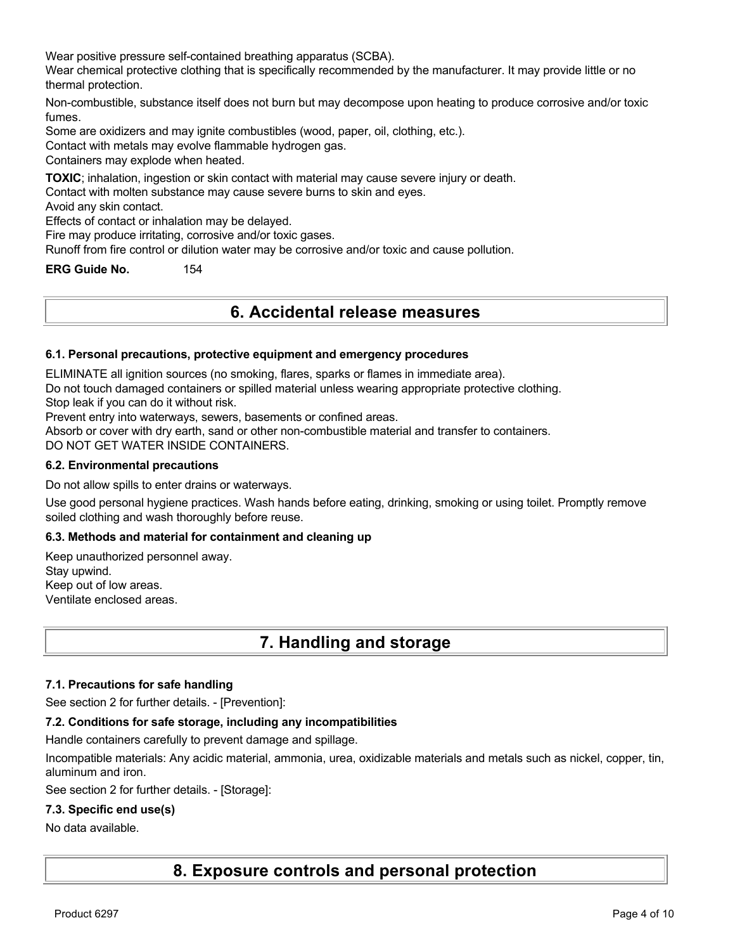Wear positive pressure self-contained breathing apparatus (SCBA).

Wear chemical protective clothing that is specifically recommended by the manufacturer. It may provide little or no thermal protection.

Non-combustible, substance itself does not burn but may decompose upon heating to produce corrosive and/or toxic fumes.

Some are oxidizers and may ignite combustibles (wood, paper, oil, clothing, etc.).

Contact with metals may evolve flammable hydrogen gas.

Containers may explode when heated.

**TOXIC**; inhalation, ingestion or skin contact with material may cause severe injury or death.

Contact with molten substance may cause severe burns to skin and eyes.

Avoid any skin contact.

Effects of contact or inhalation may be delayed.

Fire may produce irritating, corrosive and/or toxic gases.

Runoff from fire control or dilution water may be corrosive and/or toxic and cause pollution.

**ERG Guide No.** 154

## **6. Accidental release measures**

#### **6.1. Personal precautions, protective equipment and emergency procedures**

ELIMINATE all ignition sources (no smoking, flares, sparks or flames in immediate area).

Do not touch damaged containers or spilled material unless wearing appropriate protective clothing.

Stop leak if you can do it without risk.

Prevent entry into waterways, sewers, basements or confined areas.

Absorb or cover with dry earth, sand or other non-combustible material and transfer to containers.

DO NOT GET WATER INSIDE CONTAINERS.

#### **6.2. Environmental precautions**

Do not allow spills to enter drains or waterways.

Use good personal hygiene practices. Wash hands before eating, drinking, smoking or using toilet. Promptly remove soiled clothing and wash thoroughly before reuse.

### **6.3. Methods and material for containment and cleaning up**

Keep unauthorized personnel away. Stay upwind. Keep out of low areas. Ventilate enclosed areas.

## **7. Handling and storage**

#### **7.1. Precautions for safe handling**

See section 2 for further details. - [Prevention]:

#### **7.2. Conditions for safe storage, including any incompatibilities**

Handle containers carefully to prevent damage and spillage.

Incompatible materials: Any acidic material, ammonia, urea, oxidizable materials and metals such as nickel, copper, tin, aluminum and iron.

See section 2 for further details. - [Storage]:

#### **7.3. Specific end use(s)**

#### No data available.

**8. Exposure controls and personal protection**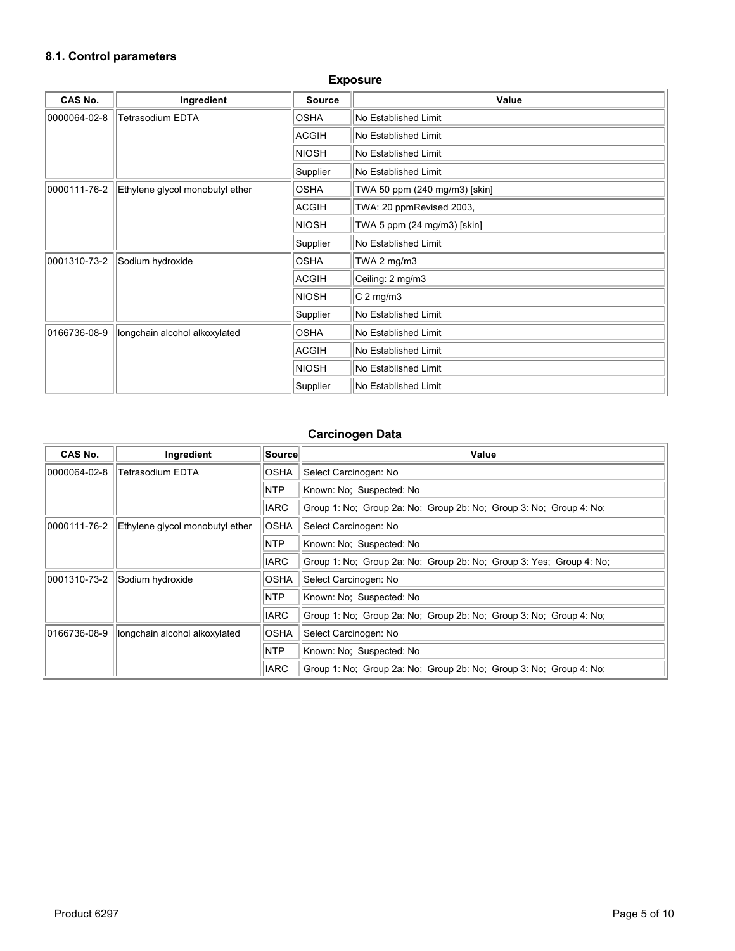## **8.1. Control parameters**

| <b>CAS No.</b> | Ingredient                      | <b>Source</b> | Value                         |
|----------------|---------------------------------|---------------|-------------------------------|
| 0000064-02-8   | <b>Tetrasodium EDTA</b>         | <b>OSHA</b>   | No Established Limit          |
|                |                                 | ACGIH         | No Established Limit          |
|                |                                 | <b>NIOSH</b>  | No Established Limit          |
|                |                                 | Supplier      | No Established Limit          |
| 0000111-76-2   | Ethylene glycol monobutyl ether | <b>OSHA</b>   | TWA 50 ppm (240 mg/m3) [skin] |
|                |                                 | ACGIH         | TWA: 20 ppmRevised 2003,      |
|                |                                 | <b>NIOSH</b>  | TWA 5 ppm (24 mg/m3) [skin]   |
|                |                                 | Supplier      | No Established Limit          |
| 0001310-73-2   | Sodium hydroxide                | <b>OSHA</b>   | TWA 2 $mg/m3$                 |
|                |                                 | <b>ACGIH</b>  | Ceiling: 2 mg/m3              |
|                |                                 | <b>NIOSH</b>  | $C2$ mg/m3                    |
|                |                                 | Supplier      | No Established Limit          |
| 0166736-08-9   | longchain alcohol alkoxylated   | <b>OSHA</b>   | No Established Limit          |
|                |                                 | ACGIH         | No Established Limit          |
|                |                                 | <b>NIOSH</b>  | No Established Limit          |
|                |                                 | Supplier      | No Established Limit          |

### **Exposure**

## **Carcinogen Data**

| CAS No.      | Ingredient                      | Source      | Value                                                               |
|--------------|---------------------------------|-------------|---------------------------------------------------------------------|
| 0000064-02-8 | Tetrasodium EDTA                | <b>OSHA</b> | Select Carcinogen: No                                               |
|              |                                 | NTP         | Known: No; Suspected: No                                            |
|              |                                 | <b>IARC</b> | Group 1: No; Group 2a: No; Group 2b: No; Group 3: No; Group 4: No;  |
| 0000111-76-2 | Ethylene glycol monobutyl ether | <b>OSHA</b> | Select Carcinogen: No                                               |
|              |                                 | <b>NTP</b>  | Known: No: Suspected: No                                            |
|              |                                 | <b>IARC</b> | Group 1: No; Group 2a: No; Group 2b: No; Group 3: Yes; Group 4: No; |
| 0001310-73-2 | Sodium hydroxide                | <b>OSHA</b> | Select Carcinogen: No                                               |
|              |                                 | <b>NTP</b>  | Known: No; Suspected: No                                            |
|              |                                 | <b>IARC</b> | Group 1: No: Group 2a: No: Group 2b: No: Group 3: No: Group 4: No:  |
| 0166736-08-9 | longchain alcohol alkoxylated   | <b>OSHA</b> | Select Carcinogen: No                                               |
|              |                                 | NTP         | Known: No; Suspected: No                                            |
|              |                                 | <b>IARC</b> | Group 1: No: Group 2a: No: Group 2b: No: Group 3: No: Group 4: No:  |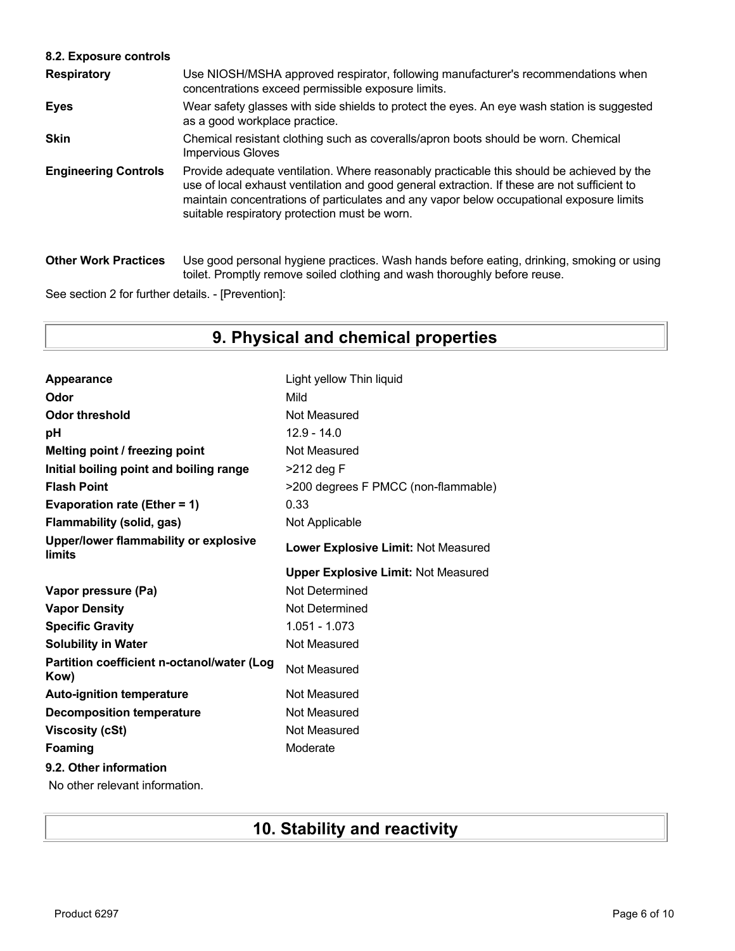## **8.2. Exposure controls**

| <b>Respiratory</b>          | Use NIOSH/MSHA approved respirator, following manufacturer's recommendations when<br>concentrations exceed permissible exposure limits.                                                                                                                                                                                                |
|-----------------------------|----------------------------------------------------------------------------------------------------------------------------------------------------------------------------------------------------------------------------------------------------------------------------------------------------------------------------------------|
| <b>Eyes</b>                 | Wear safety glasses with side shields to protect the eyes. An eye wash station is suggested<br>as a good workplace practice.                                                                                                                                                                                                           |
| <b>Skin</b>                 | Chemical resistant clothing such as coveralls/apron boots should be worn. Chemical<br><b>Impervious Gloves</b>                                                                                                                                                                                                                         |
| <b>Engineering Controls</b> | Provide adequate ventilation. Where reasonably practicable this should be achieved by the<br>use of local exhaust ventilation and good general extraction. If these are not sufficient to<br>maintain concentrations of particulates and any vapor below occupational exposure limits<br>suitable respiratory protection must be worn. |
| <b>Other Work Practices</b> | Use good personal hygiene practices. Wash hands before eating, drinking, smoking or using<br>toilet. Promptly remove soiled clothing and wash thoroughly before reuse.                                                                                                                                                                 |

See section 2 for further details. - [Prevention]:

# **9. Physical and chemical properties**

| Appearance                                         | Light yellow Thin liquid                   |
|----------------------------------------------------|--------------------------------------------|
| Odor                                               | Mild                                       |
| <b>Odor threshold</b>                              | Not Measured                               |
| рH                                                 | $12.9 - 14.0$                              |
| Melting point / freezing point                     | Not Measured                               |
| Initial boiling point and boiling range            | $>212$ deg F                               |
| <b>Flash Point</b>                                 | >200 degrees F PMCC (non-flammable)        |
| Evaporation rate (Ether = 1)                       | 0.33                                       |
| <b>Flammability (solid, gas)</b>                   | Not Applicable                             |
| Upper/lower flammability or explosive<br>limits    | Lower Explosive Limit: Not Measured        |
|                                                    | <b>Upper Explosive Limit: Not Measured</b> |
|                                                    |                                            |
| Vapor pressure (Pa)                                | Not Determined                             |
| <b>Vapor Density</b>                               | Not Determined                             |
| <b>Specific Gravity</b>                            | 1.051 - 1.073                              |
| <b>Solubility in Water</b>                         | Not Measured                               |
| Partition coefficient n-octanol/water (Log<br>Kow) | Not Measured                               |
| <b>Auto-ignition temperature</b>                   | Not Measured                               |
| <b>Decomposition temperature</b>                   | Not Measured                               |
| <b>Viscosity (cSt)</b>                             | Not Measured                               |
| Foaming                                            | Moderate                                   |
| 9.2. Other information                             |                                            |

No other relevant information.

# **10. Stability and reactivity**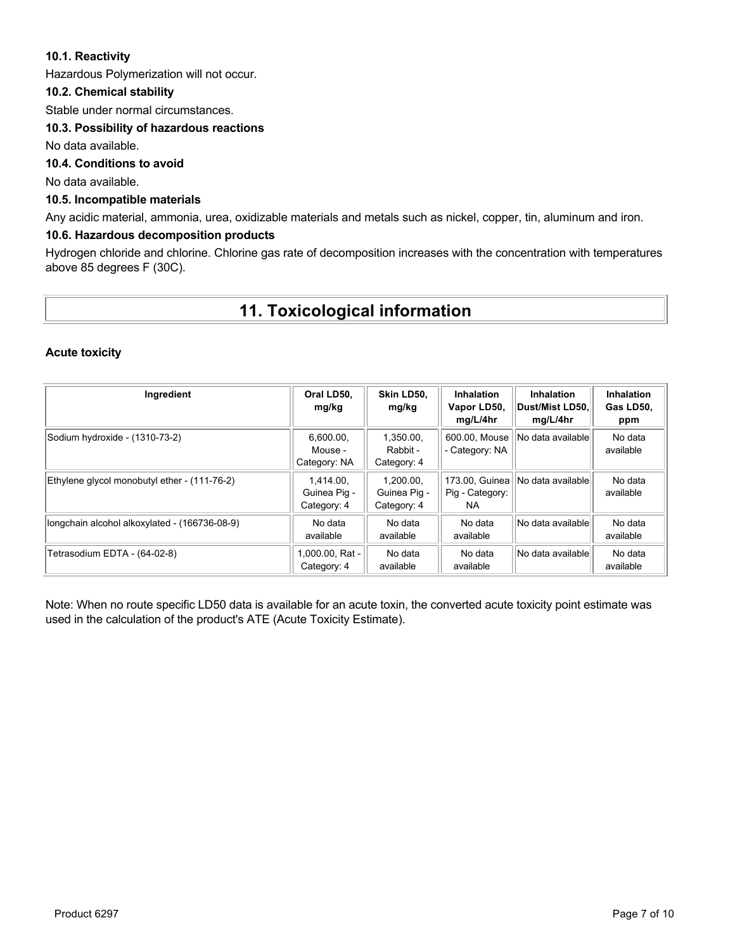### **10.1. Reactivity**

Hazardous Polymerization will not occur.

### **10.2. Chemical stability**

Stable under normal circumstances.

## **10.3. Possibility of hazardous reactions**

No data available.

## **10.4. Conditions to avoid**

No data available.

### **10.5. Incompatible materials**

Any acidic material, ammonia, urea, oxidizable materials and metals such as nickel, copper, tin, aluminum and iron.

### **10.6. Hazardous decomposition products**

Hydrogen chloride and chlorine. Chlorine gas rate of decomposition increases with the concentration with temperatures above 85 degrees F (30C).

## **11. Toxicological information**

#### **Acute toxicity**

| Ingredient                                    | Oral LD50,<br>mg/kg                      | Skin LD50.<br>mg/kg                      | Inhalation<br>Vapor LD50,<br>mg/L/4hr    | <b>Inhalation</b><br>∣Dust/Mist LD50.∣<br>mg/L/4hr | Inhalation<br>Gas LD50,<br>ppm |
|-----------------------------------------------|------------------------------------------|------------------------------------------|------------------------------------------|----------------------------------------------------|--------------------------------|
| Sodium hydroxide - (1310-73-2)                | 6,600.00,<br>Mouse -<br>Category: NA     | 1.350.00.<br>Rabbit -<br>Category: 4     | 600.00, Mouse<br>- Category: NA          | No data available                                  | No data<br>available           |
| Ethylene glycol monobutyl ether - (111-76-2)  | 1.414.00.<br>Guinea Pig -<br>Category: 4 | 1.200.00.<br>Guinea Pig -<br>Category: 4 | 173.00. Guinea<br>Pig - Category:<br>NA. | No data available                                  | No data<br>available           |
| longchain alcohol alkoxylated - (166736-08-9) | No data<br>available                     | No data<br>available                     | No data<br>available                     | No data available                                  | No data<br>available           |
| Tetrasodium EDTA - (64-02-8)                  | 1,000.00, Rat -<br>Category: 4           | No data<br>available                     | No data<br>available                     | No data availablel                                 | No data<br>available           |

Note: When no route specific LD50 data is available for an acute toxin, the converted acute toxicity point estimate was used in the calculation of the product's ATE (Acute Toxicity Estimate).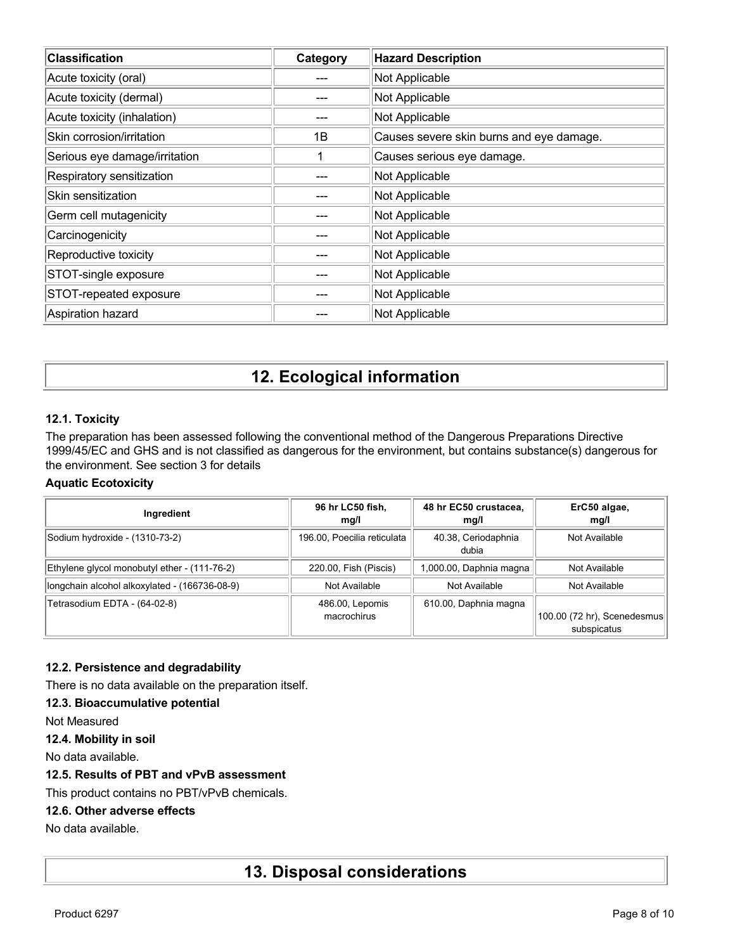| <b>Classification</b>         | Category | <b>Hazard Description</b>                |
|-------------------------------|----------|------------------------------------------|
| Acute toxicity (oral)         |          | Not Applicable                           |
| Acute toxicity (dermal)       |          | Not Applicable                           |
| Acute toxicity (inhalation)   |          | Not Applicable                           |
| Skin corrosion/irritation     | 1B       | Causes severe skin burns and eye damage. |
| Serious eye damage/irritation |          | Causes serious eye damage.               |
| Respiratory sensitization     |          | Not Applicable                           |
| Skin sensitization            |          | Not Applicable                           |
| Germ cell mutagenicity        |          | Not Applicable                           |
| Carcinogenicity               |          | Not Applicable                           |
| Reproductive toxicity         |          | Not Applicable                           |
| STOT-single exposure          |          | Not Applicable                           |
| STOT-repeated exposure        |          | Not Applicable                           |
| Aspiration hazard             |          | Not Applicable                           |

# **12. Ecological information**

## **12.1. Toxicity**

The preparation has been assessed following the conventional method of the Dangerous Preparations Directive 1999/45/EC and GHS and is not classified as dangerous for the environment, but contains substance(s) dangerous for the environment. See section 3 for details

### **Aquatic Ecotoxicity**

| Ingredient                                    | 96 hr LC50 fish,<br>mq/l       | 48 hr EC50 crustacea,<br>mg/l | ErC50 algae,<br>mg/l                       |
|-----------------------------------------------|--------------------------------|-------------------------------|--------------------------------------------|
| Sodium hydroxide - (1310-73-2)                | 196.00, Poecilia reticulata    | 40.38, Ceriodaphnia<br>dubia  | Not Available                              |
| Ethylene glycol monobutyl ether - (111-76-2)  | 220.00, Fish (Piscis)          | 1,000.00, Daphnia magna       | Not Available                              |
| longchain alcohol alkoxylated - (166736-08-9) | Not Available                  | Not Available                 | Not Available                              |
| Tetrasodium EDTA - (64-02-8)                  | 486.00, Lepomis<br>macrochirus | 610.00, Daphnia magna         | 100.00 (72 hr), Scenedesmus<br>subspicatus |

### **12.2. Persistence and degradability**

There is no data available on the preparation itself.

#### **12.3. Bioaccumulative potential**

Not Measured

**12.4. Mobility in soil**

No data available.

#### **12.5. Results of PBT and vPvB assessment**

This product contains no PBT/vPvB chemicals.

## **12.6. Other adverse effects**

No data available.

## **13. Disposal considerations**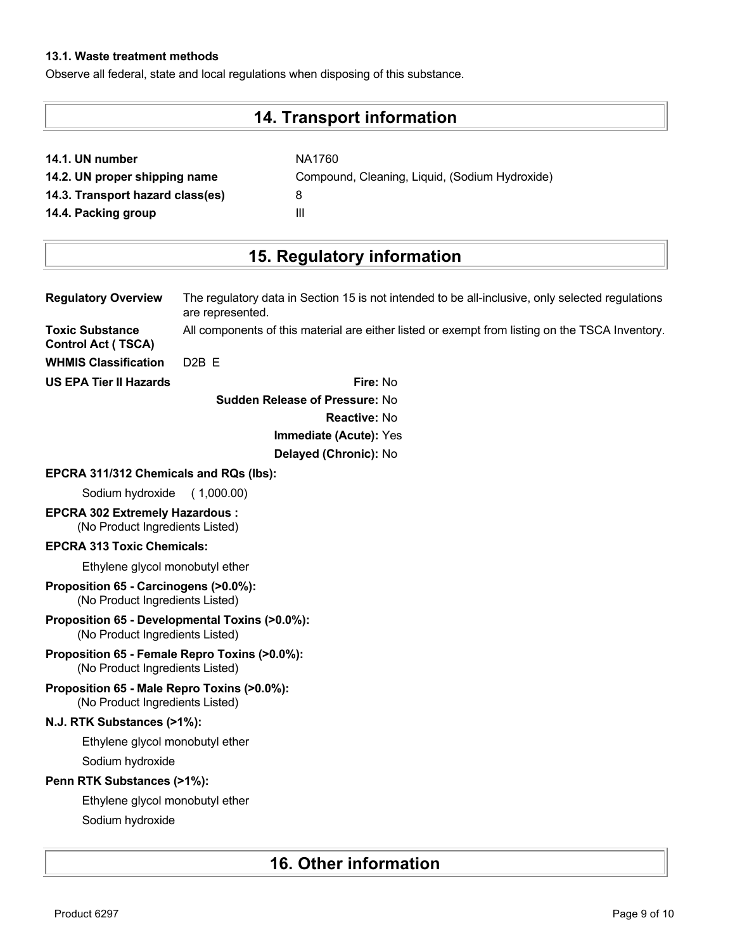## **13.1. Waste treatment methods**

Observe all federal, state and local regulations when disposing of this substance.

# **14. Transport information**

| 14.1. UN number |  |  |  |  |
|-----------------|--|--|--|--|
|-----------------|--|--|--|--|

**14.1. UN number** NA1760 **14.2. UN proper shipping name** Compound, Cleaning, Liquid, (Sodium Hydroxide) **14.3. Transport hazard class(es)** 8 **14.4. Packing group III** 

# **15. Regulatory information**

| <b>Regulatory Overview</b>                                                        | The regulatory data in Section 15 is not intended to be all-inclusive, only selected regulations<br>are represented. |
|-----------------------------------------------------------------------------------|----------------------------------------------------------------------------------------------------------------------|
| <b>Toxic Substance</b><br><b>Control Act (TSCA)</b>                               | All components of this material are either listed or exempt from listing on the TSCA Inventory.                      |
| <b>WHMIS Classification</b>                                                       | D <sub>2</sub> B <sub>E</sub>                                                                                        |
| <b>US EPA Tier II Hazards</b>                                                     | Fire: No                                                                                                             |
|                                                                                   | <b>Sudden Release of Pressure: No</b>                                                                                |
|                                                                                   | <b>Reactive: No</b>                                                                                                  |
|                                                                                   | Immediate (Acute): Yes                                                                                               |
|                                                                                   | Delayed (Chronic): No                                                                                                |
| EPCRA 311/312 Chemicals and RQs (lbs):                                            |                                                                                                                      |
| Sodium hydroxide                                                                  | (1,000.00)                                                                                                           |
| <b>EPCRA 302 Extremely Hazardous:</b><br>(No Product Ingredients Listed)          |                                                                                                                      |
| <b>EPCRA 313 Toxic Chemicals:</b>                                                 |                                                                                                                      |
| Ethylene glycol monobutyl ether                                                   |                                                                                                                      |
| Proposition 65 - Carcinogens (>0.0%):<br>(No Product Ingredients Listed)          |                                                                                                                      |
| Proposition 65 - Developmental Toxins (>0.0%):<br>(No Product Ingredients Listed) |                                                                                                                      |
| Proposition 65 - Female Repro Toxins (>0.0%):<br>(No Product Ingredients Listed)  |                                                                                                                      |
| Proposition 65 - Male Repro Toxins (>0.0%):<br>(No Product Ingredients Listed)    |                                                                                                                      |
| N.J. RTK Substances (>1%):                                                        |                                                                                                                      |
| Ethylene glycol monobutyl ether                                                   |                                                                                                                      |
| Sodium hydroxide                                                                  |                                                                                                                      |
| Penn RTK Substances (>1%):                                                        |                                                                                                                      |
| Ethylene glycol monobutyl ether                                                   |                                                                                                                      |
| Sodium hydroxide                                                                  |                                                                                                                      |

# **16. Other information**